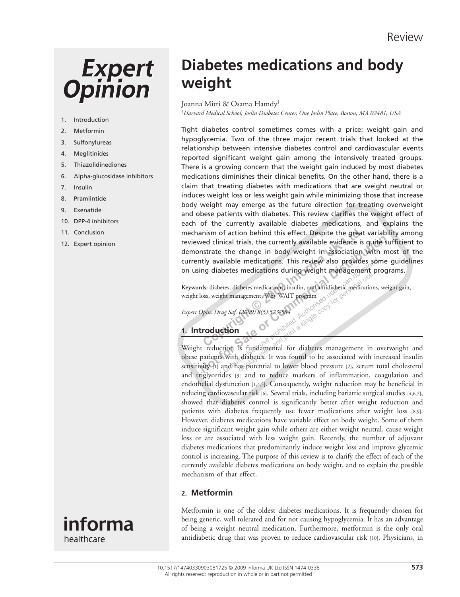# **Expert**<br>Opinion

- 1. Introduction
- 2. Metformin
- 3. Sulfonylureas
- 4. Meglitinides
- 5. Thiazolidinediones
- 6. Alpha-glucosidase inhibitors
- 7. Insulin
- 8. Pramlintide
- 9. Exenatide
- 10. DPP-4 inhibitors
- 11. Conclusion
- 12. Expert opinion

# **Diabetes medications and body weight**

Joanna Mitri & Osama Hamdy †

† *Harvard Medical School, Joslin Diabetes Center, One Joslin Place, Boston, MA 02481, USA* 

**Conserved Conserved Conserved Conserved Conserved Conserved Conserved Conservative the change in body weight in association<br>
strate the change in body weight in association<br>
tly available medications. This review also pro Notifyring the Commercial Commercial Confidence is quite state the change in body weight in association with nutly available medications. This review also provides some<br>ing diabetes medications during weight management pr** Tight diabetes control sometimes comes with a price: weight gain and hypoglycemia. Two of the three major recent trials that looked at the relationship between intensive diabetes control and cardiovascular events reported significant weight gain among the intensively treated groups. There is a growing concern that the weight gain induced by most diabetes medications diminishes their clinical benefits. On the other hand, there is a claim that treating diabetes with medications that are weight neutral or induces weight loss or less weight gain while minimizing those that increase body weight may emerge as the future direction for treating overweight and obese patients with diabetes. This review clarifies the weight effect of each of the currently available diabetes medications, and explains the mechanism of action behind this effect. Despite the great variability among reviewed clinical trials, the currently available evidence is quite sufficient to demonstrate the change in body weight in association with most of the currently available medications. This review also provides some quidelines on using diabetes medications during weight management programs.

Keywords: diabetes, diabetes medications, insulin, oral antidiabetic medications, weight gain, weight loss, weight management, Why WAIT program

 *Expert Opin. Drug Saf. (2009) 8 (5):573-584* 

# **1. Introduction**

ilable medications. This review also provides some<br>otes medications during weight management protes and actions, insulin, or<br>at antidiabetic medications, the management, Why WAIT program<br> $\frac{1000 \times 1000 \times 1000 \times 1000 \times 10$ abetes medications, insulin, oral antidiabetic medication<br>nagement, Why WAIT program<br>(2009) 8(5):573384<br>Authorities<sup>2</sup> exhibited a single copy for personal use.<br>is fundamental for diabetes management in<br>diabetes. It was fo Weight reduction is fundamental for diabetes management in overweight and obese patients with diabetes. It was found to be associated with increased insulin sensitivity (1) and has botential to lower blood pressure [2], serum total cholesterol and triglycerides [3] and to reduce markers of inflammation, coagulation and endothelial dysfunction [1,4,5] . Consequently, weight reduction may be beneficial in reducing cardiovascular risk [6]. Several trials, including bariatric surgical studies [4,6,7], showed that diabetes control is significantly better after weight reduction and patients with diabetes frequently use fewer medications after weight loss [8,9]. However, diabetes medications have variable effect on body weight. Some of them induce significant weight gain while others are either weight neutral, cause weight loss or are associated with less weight gain. Recently, the number of adjuvant diabetes medications that predominantly induce weight loss and improve glycemic control is increasing. The purpose of this review is to clarify the effect of each of the currently available diabetes medications on body weight, and to explain the possible mechanism of that effect.

#### **2. Metformin**

 Metformin is one of the oldest diabetes medications. It is frequently chosen for being generic, well tolerated and for not causing hypoglycemia. It has an advantage of being a weight neutral medication. Furthermore, metformin is the only oral antidiabetic drug that was proven to reduce cardiovascular risk [10]. Physicians, in

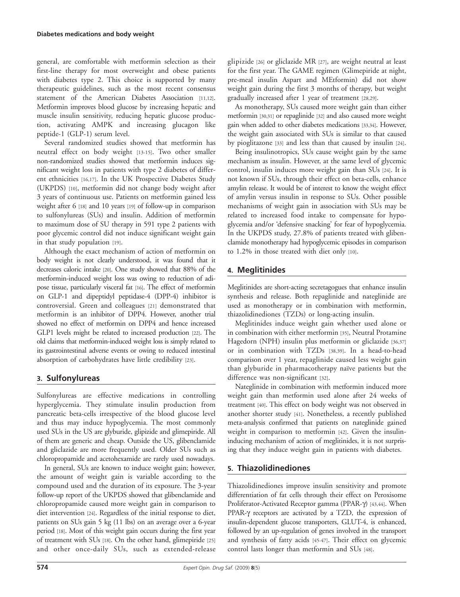general, are comfortable with metformin selection as their first-line therapy for most overweight and obese patients with diabetes type 2. This choice is supported by many therapeutic guidelines, such as the most recent consensus statement of the American Diabetes Association [11,12]. Metformin improves blood glucose by increasing hepatic and muscle insulin sensitivity, reducing hepatic glucose production, activating AMPK and increasing glucagon like peptide-1 (GLP-1) serum level.

 Several randomized studies showed that metformin has neutral effect on body weight [13-15]. Two other smaller non-randomized studies showed that metformin induces significant weight loss in patients with type 2 diabetes of different ethnicities [16,17]. In the UK Prospective Diabetes Study (UKPDS) [10], metformin did not change body weight after 3 years of continuous use. Patients on metformin gained less weight after 6 [18] and 10 years [19] of follow-up in comparison to sulfonylureas (SUs) and insulin. Addition of metformin to maximum dose of SU therapy in 591 type 2 patients with poor glycemic control did not induce significant weight gain in that study population [19].

 Although the exact mechanism of action of metformin on body weight is not clearly understood, it was found that it decreases caloric intake [20]. One study showed that 88% of the metformin-induced weight loss was owing to reduction of adipose tissue, particularly visceral fat [16] . The effect of metformin on GLP-1 and dipeptidyl peptidase-4 (DPP-4) inhibitor is controversial. Green and colleagues [21] demonstrated that metformin is an inhibitor of DPP4. However, another trial showed no effect of metformin on DPP4 and hence increased GLP1 levels might be related to increased production [22]. The old claims that metformin-induced weight loss is simply related to its gastrointestinal adverse events or owing to reduced intestinal absorption of carbohydrates have little credibility [23].

#### **3. Sulfonylureas**

 Sulfonylureas are effective medications in controlling hyperglycemia. They stimulate insulin production from pancreatic beta-cells irrespective of the blood glucose level and thus may induce hypoglycemia. The most commonly used SUs in the US are glyburide, glipizide and glimepiride. All of them are generic and cheap. Outside the US, glibenclamide and gliclazide are more frequently used. Older SUs such as chloropropamide and acetohexamide are rarely used nowadays.

 In general, SUs are known to induce weight gain; however, the amount of weight gain is variable according to the compound used and the duration of its exposure. The 3-year follow-up report of the UKPDS showed that glibenclamide and chloropropamide caused more weight gain in comparison to diet intervention [24] . Regardless of the initial response to diet, patients on SUs gain 5 kg (11 lbs) on an average over a 6-year period [18]. Most of this weight gain occurs during the first year of treatment with SUs [18] . On the other hand, glimepiride [25] and other once-daily SUs, such as extended-release

glipizide [26] or gliclazide MR [27], are weight neutral at least for the first year. The GAME regimen (Glimepiride at night, pre-meal insulin Aspart and MEtformin) did not show weight gain during the first 3 months of therapy, but weight gradually increased after 1 year of treatment [28,29] .

 As monotherapy, SUs caused more weight gain than either metformin [30,31] or repaglinide [32] and also caused more weight gain when added to other diabetes medications [33,34] . However, the weight gain associated with SUs is similar to that caused by pioglitazone [33] and less than that caused by insulin [24].

 Being insulinotropics, SUs cause weight gain by the same mechanism as insulin. However, at the same level of glycemic control, insulin induces more weight gain than SUs [24] . It is not known if SUs, through their effect on beta-cells, enhance amylin release. It would be of interest to know the weight effect of amylin versus insulin in response to SUs. Other possible mechanisms of weight gain in association with SUs may be related to increased food intake to compensate for hypoglycemia and/or 'defensive snacking' for fear of hypoglycemia. In the UKPDS study, 27.8% of patients treated with glibenclamide monotherapy had hypoglycemic episodes in comparison to 1.2% in those treated with diet only [10].

### **4. Meglitinides**

 Meglitinides are short-acting secretagogues that enhance insulin synthesis and release. Both repaglinide and nateglinide are used as monotherapy or in combination with metformin, thiazolidinediones (TZDs) or long-acting insulin.

 Meglitinides induce weight gain whether used alone or in combination with either metformin [35], Neutral Protamine Hagedorn (NPH) insulin plus metformin or gliclazide [36,37] or in combination with TZDs [38,39]. In a head-to-head comparison over 1 year, repaglinide caused less weight gain than glyburide in pharmacotherapy naïve patients but the difference was non-significant [32].

 Nateglinide in combination with metformin induced more weight gain than metformin used alone after 24 weeks of treatment [40]. This effect on body weight was not observed in another shorter study [41]. Nonetheless, a recently published meta-analysis confirmed that patients on nateglinide gained weight in comparison to metformin [42]. Given the insulininducing mechanism of action of meglitinides, it is not surprising that they induce weight gain in patients with diabetes.

## **5. Thiazolidinediones**

 Thiazolidinediones improve insulin sensitivity and promote differentiation of fat cells through their effect on Peroxisome Proliferator-Activated Receptor gamma (PPAR-γ) [43,44]. When PPAR-γ receptors are activated by a TZD, the expression of insulin-dependent glucose transporters, GLUT-4, is enhanced, followed by an up-regulation of genes involved in the transport and synthesis of fatty acids [45-47] . Their effect on glycemic control lasts longer than metformin and SUs [48].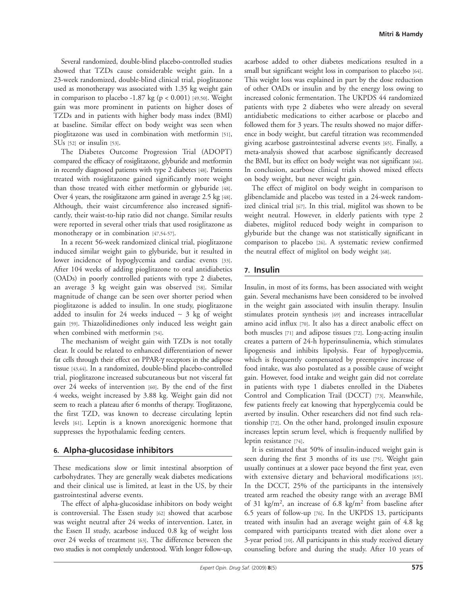Several randomized, double-blind placebo-controlled studies showed that TZDs cause considerable weight gain. In a 23-week randomized, double-blind clinical trial, pioglitazone used as monotherapy was associated with 1.35 kg weight gain in comparison to placebo -1.87 kg ( $p < 0.001$ ) [49,50]. Weight gain was more prominent in patients on higher doses of TZDs and in patients with higher body mass index (BMI) at baseline. Similar effect on body weight was seen when pioglitazone was used in combination with metformin [51],  $SUs$  [52] or insulin [53].

 The Diabetes Outcome Progression Trial (ADOPT) compared the efficacy of rosiglitazone, glyburide and metformin in recently diagnosed patients with type 2 diabetes [48]. Patients treated with rosiglitazone gained significantly more weight than those treated with either metformin or glyburide [48]. Over 4 years, the rosiglitazone arm gained in average 2.5 kg [48]. Although, their waist circumference also increased significantly, their waist-to-hip ratio did not change. Similar results were reported in several other trials that used rosiglitazone as monotherapy or in combination [47,54-57].

 In a recent 56-week randomized clinical trial, pioglitazone induced similar weight gain to glyburide, but it resulted in lower incidence of hypoglycemia and cardiac events [33]. After 104 weeks of adding pioglitazone to oral antidiabetics (OADs) in poorly controlled patients with type 2 diabetes, an average 3 kg weight gain was observed [58]. Similar magnitude of change can be seen over shorter period when pioglitazone is added to insulin. In one study, pioglitazone added to insulin for 24 weeks induced ∼ 3 kg of weight gain [59]. Thiazolidinediones only induced less weight gain when combined with metformin [54].

 The mechanism of weight gain with TZDs is not totally clear. It could be related to enhanced differentiation of newer fat cells through their effect on PPAR-γ receptors in the adipose tissue [43,44]. In a randomized, double-blind placebo-controlled trial, pioglitazone increased subcutaneous but not visceral fat over 24 weeks of intervention [60]. By the end of the first 4 weeks, weight increased by 3.88 kg. Weight gain did not seem to reach a plateau after 6 months of therapy. Troglitazone, the first TZD, was known to decrease circulating leptin levels [61]. Leptin is a known anorexigenic hormone that suppresses the hypothalamic feeding centers.

#### **6. Alpha-glucosidase inhibitors**

 These medications slow or limit intestinal absorption of carbohydrates. They are generally weak diabetes medications and their clinical use is limited, at least in the US, by their gastrointestinal adverse events.

 The effect of alpha-glucosidase inhibitors on body weight is controversial. The Essen study [62] showed that acarbose was weight neutral after 24 weeks of intervention. Later, in the Essen II study, acarbose induced 0.8 kg of weight loss over 24 weeks of treatment [63]. The difference between the two studies is not completely understood. With longer follow-up,

acarbose added to other diabetes medications resulted in a small but significant weight loss in comparison to placebo [64]. This weight loss was explained in part by the dose reduction of other OADs or insulin and by the energy loss owing to increased colonic fermentation. The UKPDS 44 randomized patients with type 2 diabetes who were already on several antidiabetic medications to either acarbose or placebo and followed them for 3 years. The results showed no major difference in body weight, but careful titration was recommended giving acarbose gastrointestinal adverse events [65]. Finally, a meta-analysis showed that acarbose significantly decreased the BMI, but its effect on body weight was not significant [66]. In conclusion, acarbose clinical trials showed mixed effects on body weight, but never weight gain.

 The effect of miglitol on body weight in comparison to glibenclamide and placebo was tested in a 24-week randomized clinical trial [67]. In this trial, miglitol was shown to be weight neutral. However, in elderly patients with type 2 diabetes, miglitol reduced body weight in comparison to glyburide but the change was not statistically significant in comparison to placebo [26] . A systematic review confirmed the neutral effect of miglitol on body weight [68].

#### **7. Insulin**

 Insulin, in most of its forms, has been associated with weight gain. Several mechanisms have been considered to be involved in the weight gain associated with insulin therapy. Insulin stimulates protein synthesis [69] and increases intracellular amino acid influx [70]. It also has a direct anabolic effect on both muscles [71] and adipose tissues [72]. Long-acting insulin creates a pattern of 24-h hyperinsulinemia, which stimulates lipogenesis and inhibits lipolysis. Fear of hypoglycemia, which is frequently compensated by preemptive increase of food intake, was also postulated as a possible cause of weight gain. However, food intake and weight gain did not correlate in patients with type 1 diabetes enrolled in the Diabetes Control and Complication Trail (DCCT) [73]. Meanwhile, few patients freely eat knowing that hyperglycemia could be averted by insulin. Other researchers did not find such relationship [72]. On the other hand, prolonged insulin exposure increases leptin serum level, which is frequently nullified by leptin resistance [74].

 It is estimated that 50% of insulin-induced weight gain is seen during the first 3 months of its use [75]. Weight gain usually continues at a slower pace beyond the first year, even with extensive dietary and behavioral modifications [65]. In the DCCT, 25% of the participants in the intensively treated arm reached the obesity range with an average BMI of 31 kg/m<sup>2</sup>, an increase of 6.8 kg/m<sup>2</sup> from baseline after 6.5 years of follow-up [76] . In the UKPDS 13, participants treated with insulin had an average weight gain of 4.8 kg compared with participants treated with diet alone over a 3-year period [10]. All participants in this study received dietary counseling before and during the study. After 10 years of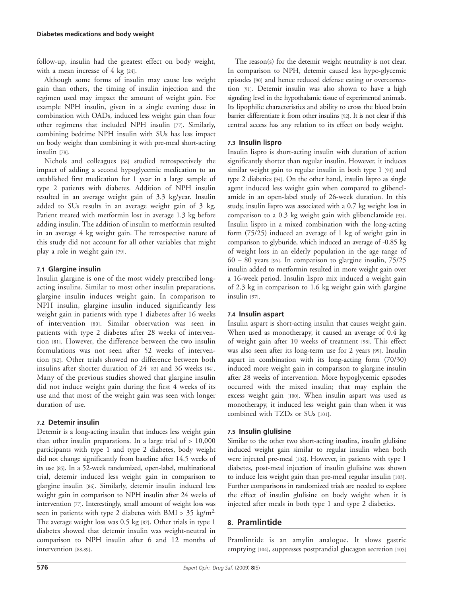follow-up, insulin had the greatest effect on body weight, with a mean increase of 4 kg [24].

 Although some forms of insulin may cause less weight gain than others, the timing of insulin injection and the regimen used may impact the amount of weight gain. For example NPH insulin, given in a single evening dose in combination with OADs, induced less weight gain than four other regimens that included NPH insulin [77]. Similarly, combining bedtime NPH insulin with SUs has less impact on body weight than combining it with pre-meal short-acting insulin [78].

 Nichols and colleagues [68] studied retrospectively the impact of adding a second hypoglycemic medication to an established first medication for 1 year in a large sample of type 2 patients with diabetes. Addition of NPH insulin resulted in an average weight gain of 3.3 kg/year. Insulin added to SUs results in an average weight gain of 3 kg. Patient treated with metformin lost in average 1.3 kg before adding insulin. The addition of insulin to metformin resulted in an average 4 kg weight gain. The retrospective nature of this study did not account for all other variables that might play a role in weight gain [79].

#### **7.1 Glargine insulin**

 Insulin glargine is one of the most widely prescribed longacting insulins. Similar to most other insulin preparations, glargine insulin induces weight gain. In comparison to NPH insulin, glargine insulin induced significantly less weight gain in patients with type 1 diabetes after 16 weeks of intervention [80]. Similar observation was seen in patients with type 2 diabetes after 28 weeks of intervention [81]. However, the difference between the two insulin formulations was not seen after 52 weeks of intervention [82]. Other trials showed no difference between both insulins after shorter duration of 24 [83] and 36 weeks [84]. Many of the previous studies showed that glargine insulin did not induce weight gain during the first 4 weeks of its use and that most of the weight gain was seen with longer duration of use.

#### **7.2 Detemir insulin**

 Detemir is a long-acting insulin that induces less weight gain than other insulin preparations. In a large trial of > 10,000 participants with type 1 and type 2 diabetes, body weight did not change significantly from baseline after 14.5 weeks of its use [85]. In a 52-week randomized, open-label, multinational trial, detemir induced less weight gain in comparison to glargine insulin [86]. Similarly, detemir insulin induced less weight gain in comparison to NPH insulin after 24 weeks of intervention [77]. Interestingly, small amount of weight loss was seen in patients with type 2 diabetes with BMI >  $35 \text{ kg/m}^2$ . The average weight loss was 0.5 kg [87]. Other trials in type 1 diabetes showed that detemir insulin was weight-neutral in comparison to NPH insulin after 6 and 12 months of intervention [88,89].

 The reason(s) for the detemir weight neutrality is not clear. In comparison to NPH, detemir caused less hypo-glycemic episodes [90] and hence reduced defense eating or overcorrection [91]. Detemir insulin was also shown to have a high signaling level in the hypothalamic tissue of experimental animals. Its lipophilic characteristics and ability to cross the blood brain barrier differentiate it from other insulins [92] . It is not clear if this central access has any relation to its effect on body weight.

#### **7.3 Insulin lispro**

 Insulin lispro is short-acting insulin with duration of action significantly shorter than regular insulin. However, it induces similar weight gain to regular insulin in both type 1 [93] and type 2 diabetics [94]. On the other hand, insulin lispro as single agent induced less weight gain when compared to glibenclamide in an open-label study of 26-week duration. In this study, insulin lispro was associated with a 0.7 kg weight loss in comparison to a 0.3 kg weight gain with glibenclamide [95]. Insulin lispro in a mixed combination with the long-acting form (75/25) induced an average of 1 kg of weight gain in comparison to glyburide, which induced an average of -0.85 kg of weight loss in an elderly population in the age range of  $60 - 80$  years [96]. In comparison to glargine insulin,  $75/25$ insulin added to metformin resulted in more weight gain over a 16-week period. Insulin lispro mix induced a weight gain of 2.3 kg in comparison to 1.6 kg weight gain with glargine insulin [97].

#### **7.4 Insulin aspart**

 Insulin aspart is short-acting insulin that causes weight gain. When used as monotherapy, it caused an average of 0.4 kg of weight gain after 10 weeks of treatment [98]. This effect was also seen after its long-term use for 2 years [99]. Insulin aspart in combination with its long-acting form (70/30) induced more weight gain in comparison to glargine insulin after 28 weeks of intervention. More hypoglycemic episodes occurred with the mixed insulin; that may explain the excess weight gain [100]. When insulin aspart was used as monotherapy, it induced less weight gain than when it was combined with TZDs or SUs [101].

#### **7.5 Insulin glulisine**

 Similar to the other two short-acting insulins, insulin glulisine induced weight gain similar to regular insulin when both were injected pre-meal [102]. However, in patients with type 1 diabetes, post-meal injection of insulin glulisine was shown to induce less weight gain than pre-meal regular insulin [103] . Further comparisons in randomized trials are needed to explore the effect of insulin glulisine on body weight when it is injected after meals in both type 1 and type 2 diabetics.

#### **8. Pramlintide**

 Pramlintide is an amylin analogue. It slows gastric emptying [104], suppresses postprandial glucagon secretion [105]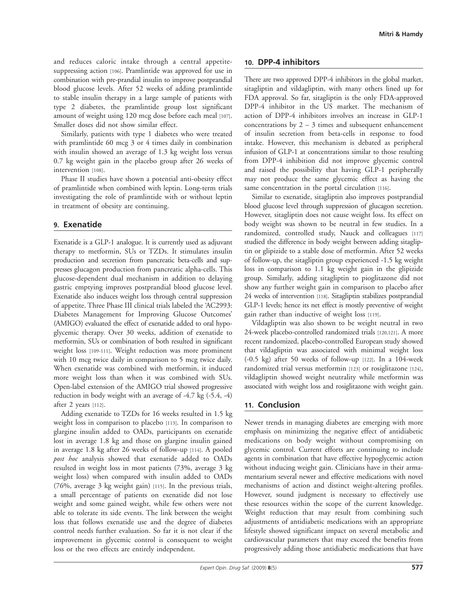and reduces caloric intake through a central appetitesuppressing action [106]. Pramlintide was approved for use in combination with pre-prandial insulin to improve postprandial blood glucose levels. After 52 weeks of adding pramlintide to stable insulin therapy in a large sample of patients with type 2 diabetes, the pramlintide group lost significant amount of weight using 120 mcg dose before each meal [107]. Smaller doses did not show similar effect.

 Similarly, patients with type 1 diabetes who were treated with pramlintide 60 mcg 3 or 4 times daily in combination with insulin showed an average of 1.3 kg weight loss versus 0.7 kg weight gain in the placebo group after 26 weeks of intervention [108].

 Phase II studies have shown a potential anti-obesity effect of pramlintide when combined with leptin. Long-term trials investigating the role of pramlintide with or without leptin in treatment of obesity are continuing.

#### **9. Exenatide**

 Exenatide is a GLP-1 analogue. It is currently used as adjuvant therapy to metformin, SUs or TZDs. It stimulates insulin production and secretion from pancreatic beta-cells and suppresses glucagon production from pancreatic alpha-cells. This glucose-dependent dual mechanism in addition to delaying gastric emptying improves postprandial blood glucose level. Exenatide also induces weight loss through central suppression of appetite. Three Phase III clinical trials labeled the 'AC2993: Diabetes Management for Improving Glucose Outcomes' (AMIGO) evaluated the effect of exenatide added to oral hypoglycemic therapy. Over 30 weeks, addition of exenatide to metformin, SUs or combination of both resulted in significant weight loss [109-111]. Weight reduction was more prominent with 10 mcg twice daily in comparison to 5 mcg twice daily. When exenatide was combined with metformin, it induced more weight loss than when it was combined with SUs. Open-label extension of the AMIGO trial showed progressive reduction in body weight with an average of  $-4.7$  kg  $(-5.4, -4)$ after 2 years [112] .

 Adding exenatide to TZDs for 16 weeks resulted in 1.5 kg weight loss in comparison to placebo [113]. In comparison to glargine insulin added to OADs, participants on exenatide lost in average 1.8 kg and those on glargine insulin gained in average 1.8 kg after 26 weeks of follow-up [114] . A pooled *post hoc* analysis showed that exenatide added to OADs resulted in weight loss in most patients (73%, average 3 kg weight loss) when compared with insulin added to OADs (76%, average 3 kg weight gain) [115] . In the previous trials, a small percentage of patients on exenatide did not lose weight and some gained weight, while few others were not able to tolerate its side events. The link between the weight loss that follows exenatide use and the degree of diabetes control needs further evaluation. So far it is not clear if the improvement in glycemic control is consequent to weight loss or the two effects are entirely independent.

#### **10. DPP-4 inhibitors**

 There are two approved DPP-4 inhibitors in the global market, sitagliptin and vildagliptin, with many others lined up for FDA approval. So far, sitagliptin is the only FDA-approved DPP-4 inhibitor in the US market. The mechanism of action of DPP-4 inhibitors involves an increase in GLP-1 concentrations by  $2 - 3$  times and subsequent enhancement of insulin secretion from beta-cells in response to food intake. However, this mechanism is debated as peripheral infusion of GLP-1 at concentrations similar to those resulting from DPP-4 inhibition did not improve glycemic control and raised the possibility that having GLP-1 peripherally may not produce the same glycemic effect as having the same concentration in the portal circulation [116].

 Similar to exenatide, sitagliptin also improves postprandial blood glucose level through suppression of glucagon secretion. However, sitagliptin does not cause weight loss. Its effect on body weight was shown to be neutral in few studies. In a randomized, controlled study, Nauck and colleagues [117] studied the difference in body weight between adding sitagliptin or glipizide to a stable dose of metformin. After 52 weeks of follow-up, the sitagliptin group experienced -1.5 kg weight loss in comparison to 1.1 kg weight gain in the glipizide group. Similarly, adding sitagliptin to pioglitazone did not show any further weight gain in comparison to placebo after 24 weeks of intervention [118] . Sitagliptin stabilizes postprandial GLP-1 levels; hence its net effect is mostly preventive of weight gain rather than inductive of weight loss [119] .

 Vildagliptin was also shown to be weight neutral in two 24-week placebo-controlled randomized trials [120,121] . A more recent randomized, placebo-controlled European study showed that vildagliptin was associated with minimal weight loss  $(-0.5 \text{ kg})$  after 50 weeks of follow-up [122]. In a 104-week randomized trial versus metformin [123] or rosiglitazone [124], vildagliptin showed weight neutrality while metformin was associated with weight loss and rosiglitazone with weight gain.

#### **11. Conclusion**

 Newer trends in managing diabetes are emerging with more emphasis on minimizing the negative effect of antidiabetic medications on body weight without compromising on glycemic control. Current efforts are continuing to include agents in combination that have effective hypoglycemic action without inducing weight gain. Clinicians have in their armamentarium several newer and effective medications with novel mechanisms of action and distinct weight-altering profiles. However, sound judgment is necessary to effectively use these resources within the scope of the current knowledge. Weight reduction that may result from combining such adjustments of antidiabetic medications with an appropriate lifestyle showed significant impact on several metabolic and cardiovascular parameters that may exceed the benefits from progressively adding those antidiabetic medications that have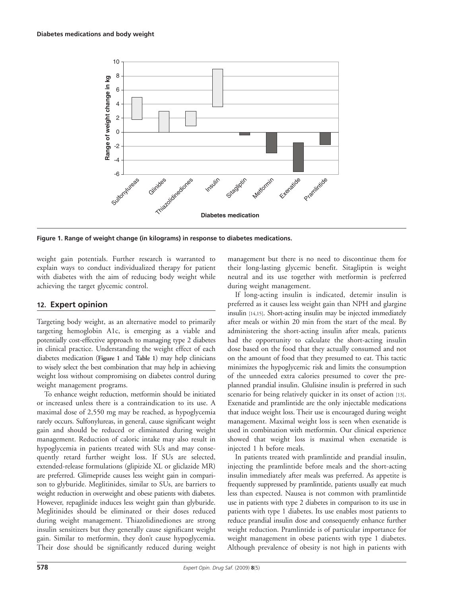

**Figure 1. Range of weight change (in kilograms) in response to diabetes medications.**

weight gain potentials. Further research is warranted to explain ways to conduct individualized therapy for patient with diabetes with the aim of reducing body weight while achieving the target glycemic control.

#### **12. Expert opinion**

 Targeting body weight, as an alternative model to primarily targeting hemoglobin A1c, is emerging as a viable and potentially cost-effective approach to managing type 2 diabetes in clinical practice. Understanding the weight effect of each diabetes medication ( **Figure 1** and **Table 1** ) may help clinicians to wisely select the best combination that may help in achieving weight loss without compromising on diabetes control during weight management programs.

 To enhance weight reduction, metformin should be initiated or increased unless there is a contraindication to its use. A maximal dose of 2,550 mg may be reached, as hypoglycemia rarely occurs. Sulfonylureas, in general, cause significant weight gain and should be reduced or eliminated during weight management. Reduction of caloric intake may also result in hypoglycemia in patients treated with SUs and may consequently retard further weight loss. If SUs are selected, extended-release formulations (glipizide XL or gliclazide MR) are preferred. Glimepride causes less weight gain in comparison to glyburide. Meglitinides, similar to SUs, are barriers to weight reduction in overweight and obese patients with diabetes. However, repaglinide induces less weight gain than glyburide. Meglitinides should be eliminated or their doses reduced during weight management. Thiazolidinediones are strong insulin sensitizers but they generally cause significant weight gain. Similar to metformin, they don't cause hypoglycemia. Their dose should be significantly reduced during weight

management but there is no need to discontinue them for their long-lasting glycemic benefit. Sitagliptin is weight neutral and its use together with metformin is preferred during weight management.

 If long-acting insulin is indicated, detemir insulin is preferred as it causes less weight gain than NPH and glargine insulin [14,15]. Short-acting insulin may be injected immediately after meals or within 20 min from the start of the meal. By administering the short-acting insulin after meals, patients had the opportunity to calculate the short-acting insulin dose based on the food that they actually consumed and not on the amount of food that they presumed to eat. This tactic minimizes the hypoglycemic risk and limits the consumption of the unneeded extra calories presumed to cover the preplanned prandial insulin. Glulisine insulin is preferred in such scenario for being relatively quicker in its onset of action [13]. Exenatide and pramlintide are the only injectable medications that induce weight loss. Their use is encouraged during weight management. Maximal weight loss is seen when exenatide is used in combination with metformin. Our clinical experience showed that weight loss is maximal when exenatide is injected 1 h before meals.

 In patients treated with pramlintide and prandial insulin, injecting the pramlintide before meals and the short-acting insulin immediately after meals was preferred. As appetite is frequently suppressed by pramlintide, patients usually eat much less than expected. Nausea is not common with pramlintide use in patients with type 2 diabetes in comparison to its use in patients with type 1 diabetes. Its use enables most patients to reduce prandial insulin dose and consequently enhance further weight reduction. Pramlintide is of particular importance for weight management in obese patients with type 1 diabetes. Although prevalence of obesity is not high in patients with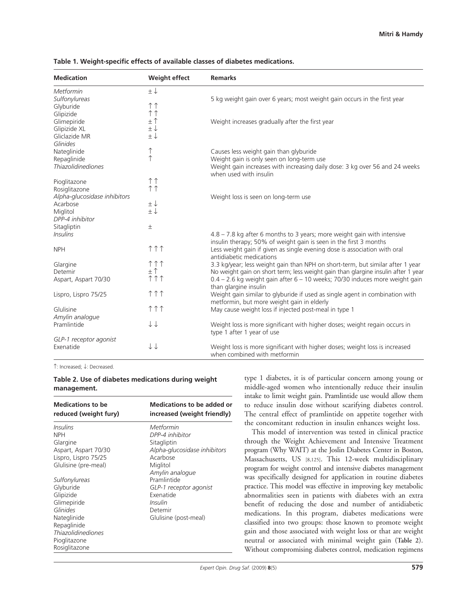| <b>Medication</b>                   | <b>Weight effect</b>         | <b>Remarks</b>                                                                                        |
|-------------------------------------|------------------------------|-------------------------------------------------------------------------------------------------------|
| Metformin<br>Sulfonylureas          | $\pm\downarrow$              | 5 kg weight gain over 6 years; most weight gain occurs in the first year                              |
| Glyburide                           | $\uparrow \uparrow$          |                                                                                                       |
| Glipizide                           | $\uparrow \uparrow$          |                                                                                                       |
| Glimepiride                         | $\pm$ 1                      | Weight increases gradually after the first year                                                       |
| Glipizide XL                        | $\pm\downarrow$              |                                                                                                       |
| Gliclazide MR                       | $\pm\downarrow$              |                                                                                                       |
| Glinides                            |                              |                                                                                                       |
| Nateglinide                         | $\uparrow$                   | Causes less weight gain than glyburide                                                                |
| Repaglinide                         | $\uparrow$                   | Weight gain is only seen on long-term use                                                             |
| <b>Thiazolidinediones</b>           |                              | Weight gain increases with increasing daily dose: 3 kg over 56 and 24 weeks<br>when used with insulin |
| Pioglitazone                        | $\uparrow \uparrow$          |                                                                                                       |
| Rosiglitazone                       | $\uparrow \uparrow$          |                                                                                                       |
| Alpha-glucosidase inhibitors        |                              | Weight loss is seen on long-term use                                                                  |
| Acarbose                            | $\pm\downarrow$              |                                                                                                       |
| Miglitol                            | $\pm\downarrow$              |                                                                                                       |
| DPP-4 inhibitor                     |                              |                                                                                                       |
| Sitagliptin                         | $\pm$                        |                                                                                                       |
| <b>Insulins</b>                     |                              | 4.8 - 7.8 kg after 6 months to 3 years; more weight gain with intensive                               |
|                                     |                              | insulin therapy; 50% of weight gain is seen in the first 3 months                                     |
| <b>NPH</b>                          | $\uparrow \uparrow \uparrow$ | Less weight gain if given as single evening dose is association with oral                             |
|                                     |                              | antidiabetic medications                                                                              |
| Glargine                            | $\uparrow \uparrow \uparrow$ | 3.3 kg/year; less weight gain than NPH on short-term, but similar after 1 year                        |
| Detemir                             | $\pm$ $\uparrow$             | No weight gain on short term; less weight gain than glargine insulin after 1 year                     |
| Aspart, Aspart 70/30                | $\uparrow \uparrow \uparrow$ | 0.4 - 2.6 kg weight gain after 6 - 10 weeks; 70/30 induces more weight gain                           |
|                                     |                              | than glargine insulin                                                                                 |
| Lispro, Lispro 75/25                | $\uparrow \uparrow \uparrow$ | Weight gain similar to glyburide if used as single agent in combination with                          |
|                                     |                              | metformin, but more weight gain in elderly                                                            |
| Glulisine                           | $\uparrow \uparrow \uparrow$ | May cause weight loss if injected post-meal in type 1                                                 |
| Amylin analogue                     | ↓↓                           |                                                                                                       |
| Pramlintide                         |                              | Weight loss is more significant with higher doses; weight regain occurs in                            |
|                                     |                              | type 1 after 1 year of use                                                                            |
| GLP-1 receptor agonist<br>Exenatide | $\downarrow \downarrow$      | Weight loss is more significant with higher doses; weight loss is increased                           |
|                                     |                              | when combined with metformin                                                                          |

#### **Table 1. Weight-specific effects of available classes of diabetes medications.**

↑ : Increased; ↓ : Decreased.

#### **Table 2 . Use of diabetes medications during weight management.**

| <b>Medications to be</b><br>reduced (weight fury) | Medications to be added or<br>increased (weight friendly) |
|---------------------------------------------------|-----------------------------------------------------------|
| Insulins                                          | Metformin                                                 |
| <b>NPH</b>                                        | DPP-4 inhibitor                                           |
| Glargine                                          | Sitagliptin                                               |
| Aspart, Aspart 70/30                              | Alpha-glucosidase inhibitors                              |
| Lispro, Lispro 75/25                              | Acarbose                                                  |
| Glulisine (pre-meal)                              | Miglitol                                                  |
|                                                   | Amylin analoque                                           |
| Sultonylureas                                     | Pramlintide                                               |
| Glyburide                                         | GLP-1 receptor agonist                                    |
| Glipizide                                         | Exenatide                                                 |
| Glimepiride                                       | Insulin                                                   |
| Glinides                                          | Detemir                                                   |
| Nateglinide                                       | Glulisine (post-meal)                                     |
| Repaglinide                                       |                                                           |
| <i>Thiazolidinediones</i>                         |                                                           |
| Pioglitazone                                      |                                                           |
| Rosiglitazone                                     |                                                           |

type 1 diabetes, it is of particular concern among young or middle-aged women who intentionally reduce their insulin intake to limit weight gain. Pramlintide use would allow them to reduce insulin dose without scarifying diabetes control. The central effect of pramlintide on appetite together with the concomitant reduction in insulin enhances weight loss.

 This model of intervention was tested in clinical practice through the Weight Achievement and Intensive Treatment program (Why WAIT) at the Joslin Diabetes Center in Boston, Massachusetts, US [8,125]. This 12-week multidisciplinary program for weight control and intensive diabetes management was specifically designed for application in routine diabetes practice. This model was effective in improving key metabolic abnormalities seen in patients with diabetes with an extra benefit of reducing the dose and number of antidiabetic medications. In this program, diabetes medications were classified into two groups: those known to promote weight gain and those associated with weight loss or that are weight neutral or associated with minimal weight gain (Table 2). Without compromising diabetes control, medication regimens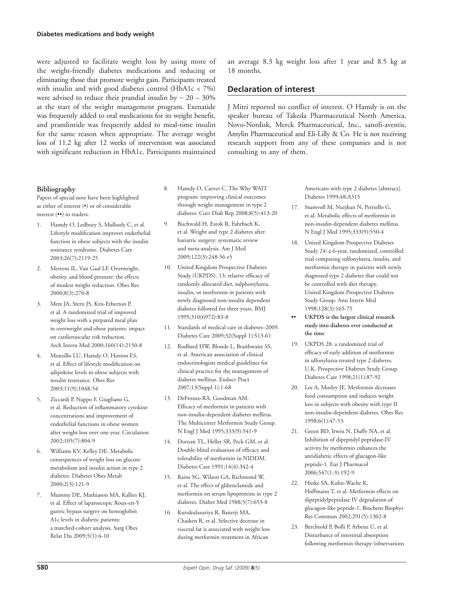were adjusted to facilitate weight loss by using more of the weight-friendly diabetes medications and reducing or eliminating those that promote weight gain. Participants treated with insulin and with good diabetes control (HbA1c < 7%) were advised to reduce their prandial insulin by ∼ 20 – 30% at the start of the weight management program. Exenatide was frequently added to oral medications for its weight benefit, and pramlintide was frequently added to meal-time insulin for the same reason when appropriate. The average weight loss of 11.2 kg after 12 weeks of intervention was associated with significant reduction in HbA1c. Participants maintained

#### **Bibliography**

 Papers of special note have been highlighted as either of interest (•) or of considerable interest (••) to readers.

- Hamdy O, Ledbury S, Mullooly C, et al. Lifestyle modification improves endothelial function in obese subjects with the insulin resistance syndrome. Diabetes Care 2003 ; 26 (7): 2119 -25
- 2. Mertens IL, Van Gaal LF. Overweight, obesity, and blood pressure: the effects of modest weight reduction. Obes Res 2000 ; 8 (3): 270 -8
- 3. Metz JA, Stern JS, Kris-Etherton P, et al. A randomized trial of improved weight loss with a prepared meal plan in overweight and obese patients: impact on cardiovascular risk reduction. Arch Intern Med 2000;160(14):2150-8
- 4. Monzillo LU, Hamdy O, Horton ES, et al. Effect of lifestyle modification on adipokine levels in obese subjects with insulin resistance. Obes Res 2003 ; 11 (9): 1048 -54
- 5. Ziccardi P, Nappo F, Giugliano G, et al. Reduction of inflammatory cytokine concentrations and improvement of endothelial functions in obese women after weight loss over one year. Circulation 2002 ; 105 (7): 804 -9
- 6. Williams KV, Kelley DE. Metabolic consequences of weight loss on glucose metabolism and insulin action in type 2 diabetes. Diabetes Obes Metab  $2000:2(3):121-9$
- 7. Mumme DE, Mathiason MA, Kallies KJ, et al. Effect of laparoscopic Roux-en-Y gastric bypass surgery on hemoglobin A1c levels in diabetic patients: a matched-cohort analysis. Surg Obes Relat Dis 2009;5(1):4-10
- 8. Hamdy O, Carver C. The Why WAIT program: improving clinical outcomes through weight management in type 2 diabetes. Curr Diab Rep 2008;8(5):413-20
- 9. Buchwald H, Estok R, Fahrbach K, et al. Weight and type 2 diabetes after bariatric surgery: systematic review and meta-analysis. Am J Med 2009;122(3):248-56 e5
- 10. United Kingdom Prospective Diabetes Study (UKPDS). 13: relative efficacy of randomly allocated diet, sulphonylurea, insulin, or metformin in patients with newly diagnosed non-insulin dependent diabetes followed for three years. BMJ 1995 ; 310 (6972): 83 -8
- 11. Standards of medical care in diabetes–2009. Diabetes Care 2009;32(Suppl 1):S13-61
- 12. Rodbard HW, Blonde L, Braithwaite SS, et al. American association of clinical endocrinologists medical guidelines for clinical practice for the management of diabetes mellitus. Endocr Pract 2007 ; 13 (Suppl 1): 1 -68
- 13. DeFronzo RA, Goodman AM. Efficacy of metformin in patients with non-insulin-dependent diabetes mellitus. The Multicenter Metformin Study Group. N Engl J Med 1995;333(9):541-9
- 14. Dornan TL, Heller SR, Peck GM, et al. Double-blind evaluation of efficacy and tolerability of metformin in NIDDM. Diabetes Care 1991;14(4):342-4
- 15. Rains SG, Wilson GA, Richmond W, et al. The effect of glibenclamide and metformin on serum lipoproteins in type 2 diabetes. Diabet Med 1988;5(7):653-8
- 16. Kurukulasuriya R, Banerji MA, Chaiken R, et al. Selective decrease in visceral fat is associated with weight loss during metformin treatment in African

an average 8.3 kg weight loss after 1 year and 8.5 kg at 18 months.

#### **Declaration of interest**

 J Mitri reported no conflict of interest. O Hamdy is on the speaker bureau of Takeda Pharmaceutical North America, Novo-Nordisk, Merck Pharmaceutical, Inc., sanofi-aventis, Amylin Pharmaceutical and Eli-Lilly & Co. He is not receiving research support from any of these companies and is not consulting to any of them.

> Americans with type 2 diabetes [abstract]. Diabetes 1999;48:A315

- 17. Stumvoll M, Nurjhan N, Perriello G, et al. Metabolic effects of metformin in non-insulin-dependent diabetes mellitus. N Engl J Med 1995;333(9):550-4
- 18. United Kingdom Prospective Diabetes Study 24: a 6-year, randomized, controlled trial comparing sulfonylurea, insulin, and metformin therapy in patients with newly diagnosed type 2 diabetes that could not be controlled with diet therapy. United Kingdom Prospective Diabetes Study Group. Ann Intern Med 1998;128(3):165-75
- **•• UKPDS is the largest clinical research study into diabetes ever conducted at the time**
- 19. UKPDS 28: a randomized trial of efficacy of early addition of metformin in ulfonylurea-treated type 2 diabetes. U.K. Prospective Diabetes Study Group. Diabetes Care 1998;21(1):87-92
- 20. Lee A, Morley JE. Metformin decreases food consumption and induces weight loss in subjects with obesity with type II non-insulin-dependent diabetes. Obes Res  $1998;6(1):47-53$
- 21. Green BD, Irwin N, Duffy NA, et al. Inhibition of dipeptidyl peptidase-IV activity by metformin enhances the antidiabetic effects of glucagon-like peptide-1. Eur J Pharmacol 2006 ; 547 (1-3): 192 -9
- 22. Hinke SA, Kuhn-Wache K, Hoffmann T, et al. Metformin effects on dipeptidylpeptidase IV degradation of glucagon-like peptide-1. Biochem Biophys Res Commun 2002;291(5):1302-8
- 23. Berchtold P, Bolli P, Arbenz U, et al. Disturbance of intestinal absorption following metformin therapy (observations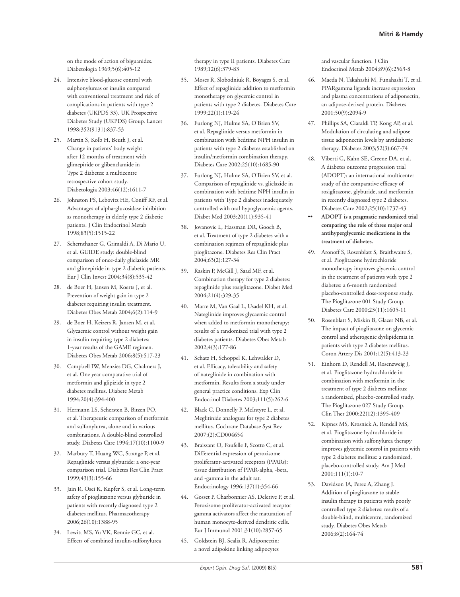on the mode of action of biguanides. Diabetologia 1969;5(6):405-12

- 24. Intensive blood-glucose control with sulphonylureas or insulin compared with conventional treatment and risk of complications in patients with type 2 diabetes (UKPDS 33). UK Prospective Diabetes Study (UKPDS) Group. Lancet 1998 ; 352 (9131): 837 -53
- 25. Martin S, Kolb H, Beuth J, et al. Change in patients' body weight after 12 months of treatment with glimepiride or glibenclamide in Type 2 diabetes: a multicentre retrospective cohort study. Diabetologia 2003;46(12):1611-7
- 26. Johnston PS, Lebovitz HE, Coniff RF, et al. Advantages of alpha-glucosidase inhibition as monotherapy in elderly type 2 diabetic patients. J Clin Endocrinol Metab 1998 ; 83 (5): 1515 -22
- 27. Schernthaner G, Grimaldi A, Di Mario U, et al. GUIDE study: double-blind comparison of once-daily gliclazide MR and glimepiride in type 2 diabetic patients. Eur J Clin Invest 2004;34(8):535-42
- 28. de Boer H, Jansen M, Koerts J, et al. Prevention of weight gain in type 2 diabetes requiring insulin treatment. Diabetes Obes Metab 2004;6(2):114-9
- 29. de Boer H, Keizers R, Jansen M, et al. Glycaemic control without weight gain in insulin requiring type 2 diabetes: 1-year results of the GAME regimen. Diabetes Obes Metab 2006;8(5):517-23
- 30. Campbell IW, Menzies DG, Chalmers J, et al. One year comparative trial of metformin and glipizide in type 2 diabetes mellitus. Diabete Metab 1994;20(4):394-400
- 31. Hermann LS, Schersten B, Bitzen PO, et al. Therapeutic comparison of metformin and sulfonylurea, alone and in various combinations. A double-blind controlled study. Diabetes Care 1994;17(10):1100-9
- 32. Marbury T, Huang WC, Strange P, et al. Repaglinide versus glyburide: a one-year comparison trial. Diabetes Res Clin Pract 1999 ; 43 (3): 155 -66
- 33. Jain R, Osei K, Kupfer S, et al. Long-term safety of pioglitazone versus glyburide in patients with recently diagnosed type 2 diabetes mellitus. Pharmacotherapy 2006 ; 26 (10): 1388 -95
- 34. Lewitt MS, Yu VK, Rennie GC, et al. Effects of combined insulin-sulfonylurea

therapy in type II patients. Diabetes Care 1989:12(6):379-83

- 35. Moses R, Slobodniuk R, Boyages S, et al. Effect of repaglinide addition to metformin monotherapy on glycemic control in patients with type 2 diabetes. Diabetes Care 1999;22(1):119-24
- 36. Furlong NJ, Hulme SA, O'Brien SV, et al. Repaglinide versus metformin in combination with bedtime NPH insulin in patients with type 2 diabetes established on insulin/metformin combination therapy. Diabetes Care 2002;25(10):1685-90
- 37. Furlong NJ, Hulme SA, O'Brien SV, et al. Comparison of repaglinide vs. gliclazide in combination with bedtime NPH insulin in patients with Type 2 diabetes inadequately controlled with oral hypoglycaemic agents. Diabet Med 2003;20(11):935-41
- 38. Jovanovic L, Hassman DR, Gooch B, et al. Treatment of type 2 diabetes with a combination regimen of repaglinide plus pioglitazone. Diabetes Res Clin Pract 2004 ; 63 (2): 127 -34
- 39. Raskin P, McGill J, Saad MF, et al. Combination therapy for type 2 diabetes: repaglinide plus rosiglitazone. Diabet Med 2004 ; 21 (4): 329 -35
- 40. Marre M, Van Gaal L, Usadel KH, et al. Nateglinide improves glycaemic control when added to metformin monotherapy: results of a randomized trial with type 2 diabetes patients. Diabetes Obes Metab 2002 ; 4 (3): 177 -86
- 41. Schatz H, Schoppel K, Lehwalder D, et al. Efficacy, tolerability and safety of nateglinide in combination with metformin. Results from a study under general practice conditions. Exp Clin Endocrinol Diabetes 2003;111(5):262-6
- 42. Black C, Donnelly P, McIntyre L, et al. Meglitinide analogues for type 2 diabetes mellitus. Cochrane Database Syst Rev 2007 ;(2): CD004654
- 43. Braissant O, Foufelle F, Scotto C, et al. Differential expression of peroxisome proliferator-activated receptors (PPARs): tissue distribution of PPAR-alpha, -beta, and -gamma in the adult rat. Endocrinology 1996;137(1):354-66
- 44. Gosset P, Charbonnier AS, Delerive P, et al. Peroxisome proliferator-activated receptor gamma activators affect the maturation of human monocyte-derived dendritic cells. Eur J Immunol 2001;31(10):2857-65
- 45. Goldstein BJ, Scalia R. Adiponectin: a novel adipokine linking adipocytes

and vascular function. J Clin Endocrinol Metab 2004;89(6):2563-8

- 46. Maeda N, Takahashi M, Funahashi T, et al. PPARgamma ligands increase expression and plasma concentrations of adiponectin, an adipose-derived protein. Diabetes 2001 ; 50 (9): 2094 -9
- 47. Phillips SA, Ciaraldi TP, Kong AP, et al. Modulation of circulating and adipose tissue adiponectin levels by antidiabetic therapy. Diabetes 2003;52(3):667-74
- 48. Viberti G, Kahn SE, Greene DA, et al. A diabetes outcome progression trial (ADOPT): an international multicenter study of the comparative efficacy of rosiglitazone, glyburide, and metformin in recently diagnosed type 2 diabetes. Diabetes Care 2002;25(10):1737-43
- **•• ADOPT is a pragmatic randomized trial comparing the role of three major oral antihyperglycemic medications in the treatment of diabetes.**
- 49. Aronoff S, Rosenblatt S, Braithwaite S, et al. Pioglitazone hydrochloride monotherapy improves glycemic control in the treatment of patients with type 2 diabetes: a 6-month randomized placebo-controlled dose-response study. The Pioglitazone 001 Study Group. Diabetes Care 2000;23(11):1605-11
- 50. Rosenblatt S, Miskin B, Glazer NB, et al. The impact of pioglitazone on glycemic control and atherogenic dyslipidemia in patients with type 2 diabetes mellitus. Coron Artery Dis 2001;12(5):413-23
- 51. Einhorn D, Rendell M, Rosenzweig J, et al. Pioglitazone hydrochloride in combination with metformin in the treatment of type 2 diabetes mellitus: a randomized, placebo-controlled study. The Pioglitazone 027 Study Group. Clin Ther 2000;22(12):1395-409
- 52. Kipnes MS, Krosnick A, Rendell MS, et al. Pioglitazone hydrochloride in combination with sulfonylurea therapy improves glycemic control in patients with type 2 diabetes mellitus: a randomized, placebo-controlled study. Am J Med  $2001;111(1):10-7$
- 53. Davidson JA, Perez A, Zhang J. Addition of pioglitazone to stable insulin therapy in patients with poorly controlled type 2 diabetes: results of a double-blind, multicentre, randomized study. Diabetes Obes Metab 2006 ; 8 (2): 164 -74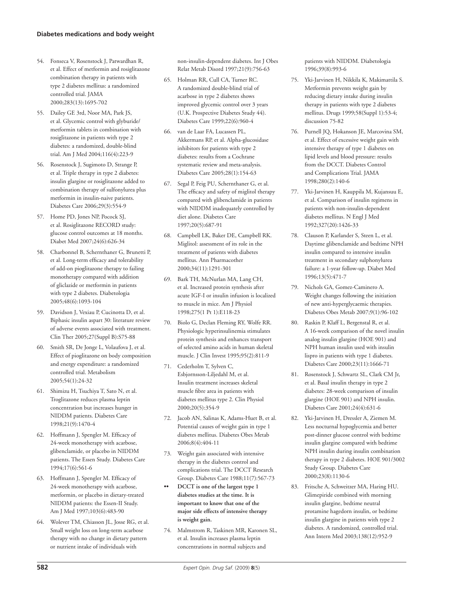- 54. Fonseca V, Rosenstock J, Patwardhan R, et al. Effect of metformin and rosiglitazone combination therapy in patients with type 2 diabetes mellitus: a randomized controlled trial. JAMA 2000 ; 283 (13): 1695 -702
- 55. Dailey GE 3rd, Noor MA, Park JS, et al. Glycemic control with glyburide/ metformin tablets in combination with rosiglitazone in patients with type 2 diabetes: a randomized, double-blind trial. Am J Med 2004;116(4):223-9
- 56. Rosenstock J, Sugimoto D, Strange P, et al. Triple therapy in type 2 diabetes: insulin glargine or rosiglitazone added to combination therapy of sulfonylurea plus metformin in insulin-naive patients. Diabetes Care 2006;29(3):554-9
- 57. Home PD, Jones NP, Pocock SJ, et al. Rosiglitazone RECORD study: glucose control outcomes at 18 months. Diabet Med 2007;24(6):626-34
- 58. Charbonnel B, Schernthaner G, Brunetti P, et al. Long-term efficacy and tolerability of add-on pioglitazone therapy to failing monotherapy compared with addition of gliclazide or metformin in patients with type 2 diabetes. Diabetologia 2005 ; 48 (6): 1093 -104
- 59. Davidson J, Vexiau P, Cucinotta D, et al. Biphasic insulin aspart 30: literature review of adverse events associated with treatment. Clin Ther 2005;27(Suppl B):S75-88
- 60. Smith SR, De Jonge L, Volaufova J, et al. Effect of pioglitazone on body composition and energy expenditure: a randomized controlled trial. Metabolism 2005 ; 54 (1): 24 -32
- 61. Shimizu H, Tsuchiya T, Sato N, et al. Troglitazone reduces plasma leptin concentration but increases hunger in NIDDM patients. Diabetes Care 1998 ; 21 (9): 1470 -4
- 62. Hoffmann J, Spengler M. Efficacy of 24-week monotherapy with acarbose, glibenclamide, or placebo in NIDDM patients. The Essen Study. Diabetes Care 1994;17(6):561-6
- 63. Hoffmann J, Spengler M. Efficacy of 24-week monotherapy with acarbose, metformin, or placebo in dietary-treated NIDDM patients: the Essen-II Study. Am J Med 1997;103(6):483-90
- 64. Wolever TM, Chiasson JL, Josse RG, et al. Small weight loss on long-term acarbose therapy with no change in dietary pattern or nutrient intake of individuals with

non-insulin-dependent diabetes. Int J Obes Relat Metab Disord 1997;21(9):756-63

- 65. Holman RR, Cull CA, Turner RC. A randomized double-blind trial of acarbose in type 2 diabetes shows improved glycemic control over 3 years (U.K. Prospective Diabetes Study 44). Diabetes Care 1999;22(6):960-4
- 66. van de Laar FA, Lucassen PL, Akkermans RP, et al. Alpha-glucosidase inhibitors for patients with type 2 diabetes: results from a Cochrane systematic review and meta-analysis. Diabetes Care 2005;28(1):154-63
- 67. Segal P, Feig PU, Schernthaner G, et al. The efficacy and safety of miglitol therapy compared with glibenclamide in patients with NIDDM inadequately controlled by diet alone. Diabetes Care 1997:20(5):687-91
- 68. Campbell LK, Baker DE, Campbell RK. Miglitol: assessment of its role in the treatment of patients with diabetes mellitus. Ann Pharmacother 2000 ; 34 (11): 1291 -301
- 69. Bark TH, McNurlan MA, Lang CH, et al. Increased protein synthesis after acute IGF-I or insulin infusion is localized to muscle in mice. Am J Physiol 1998;275(1 Pt 1): E118-23
- 70. Biolo G, Declan Fleming RY, Wolfe RR. Physiologic hyperinsulinemia stimulates protein synthesis and enhances transport of selected amino acids in human skeletal muscle. J Clin Invest 1995;95(2):811-9
- 71. Cederholm T, Sylven C, Esbjornsson-Liljedahl M, et al. Insulin treatment increases skeletal muscle fibre area in patients with diabetes mellitus type 2. Clin Physiol 2000 ; 20 (5): 354 -9
- 72. Jacob AN, Salinas K, Adams-Huet B, et al. Potential causes of weight gain in type 1 diabetes mellitus. Diabetes Obes Metab 2006 ; 8 (4): 404 -11
- 73. Weight gain associated with intensive therapy in the diabetes control and complications trial. The DCCT Research Group. Diabetes Care 1988;11(7):567-73
- **•• DCCT is one of the largest type 1 diabetes studies at the time. It is important to know that one of the major side effects of intensive therapy is weight gain.**
- 74. Malmstrom R, Taskinen MR, Karonen SL, et al. Insulin increases plasma leptin concentrations in normal subjects and

patients with NIDDM. Diabetologia 1996;39(8):993-6

- 75. Yki-Jarvinen H, Nikkila K, Makimattila S. Metformin prevents weight gain by reducing dietary intake during insulin therapy in patients with type 2 diabetes mellitus. Drugs 1999;58(Suppl 1):53-4; discussion 75-82
- 76. Purnell JQ, Hokanson JE, Marcovina SM, et al. Effect of excessive weight gain with intensive therapy of type 1 diabetes on lipid levels and blood pressure: results from the DCCT. Diabetes Control and Complications Trial. JAMA 1998;280(2):140-6
- 77. Yki-Jarvinen H, Kauppila M, Kujansuu E, et al. Comparison of insulin regimens in patients with non-insulin-dependent diabetes mellitus. N Engl J Med 1992;327(20):1426-33
- 78. Clauson P, Karlander S, Steen L, et al. Daytime glibenclamide and bedtime NPH insulin compared to intensive insulin treatment in secondary sulphonylurea failure: a 1-year follow-up. Diabet Med 1996:13(5):471-7
- 79. Nichols GA, Gomez-Caminero A. Weight changes following the initiation of new anti-hyperglycaemic therapies. Diabetes Obes Metab 2007;9(1):96-102
- 80. Raskin P, Klaff L, Bergenstal R, et al. A 16-week comparison of the novel insulin analog insulin glargine (HOE 901) and NPH human insulin used with insulin lispro in patients with type 1 diabetes. Diabetes Care 2000;23(11):1666-71
- 81. Rosenstock J, Schwartz SL, Clark CM Jr, et al. Basal insulin therapy in type 2 diabetes: 28-week comparison of insulin glargine (HOE 901) and NPH insulin. Diabetes Care 2001;24(4):631-6
- 82. Yki-Jarvinen H, Dressler A, Ziemen M. Less nocturnal hypoglycemia and better post-dinner glucose control with bedtime insulin glargine compared with bedtime NPH insulin during insulin combination therapy in type 2 diabetes. HOE 901/3002 Study Group. Diabetes Care 2000 ; 23 (8): 1130 -6
- 83. Fritsche A, Schweitzer MA, Haring HU. Glimepiride combined with morning insulin glargine, bedtime neutral protamine hagedorn insulin, or bedtime insulin glargine in patients with type 2 diabetes. A randomized, controlled trial. Ann Intern Med 2003;138(12):952-9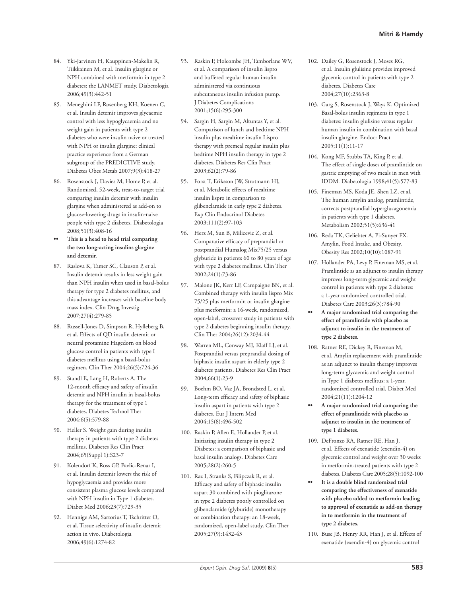- 84. Yki-Jarvinen H, Kauppinen-Makelin R, Tiikkainen M, et al. Insulin glargine or NPH combined with metformin in type 2 diabetes: the LANMET study. Diabetologia 2006 ; 49 (3): 442 -51
- 85. Meneghini LF, Rosenberg KH, Koenen C, et al. Insulin detemir improves glycaemic control with less hypoglycaemia and no weight gain in patients with type 2 diabetes who were insulin naive or treated with NPH or insulin glargine: clinical practice experience from a German subgroup of the PREDICTIVE study. Diabetes Obes Metab 2007;9(3):418-27
- 86. Rosenstock J, Davies M, Home P, et al. Randomised, 52-week, treat-to-target trial comparing insulin detemir with insulin glargine when administered as add-on to glucose-lowering drugs in insulin-naive people with type 2 diabetes. Diabetologia 2008 ; 51 (3): 408 -16
- **•• This is a head to head trial comparing the two long-acting insulins glargine and detemir.**
- 87. Raslova K, Tamer SC, Clauson P, et al. Insulin detemir results in less weight gain than NPH insulin when used in basal-bolus therapy for type 2 diabetes mellitus, and this advantage increases with baseline body mass index. Clin Drug Investig 2007 ; 27 (4): 279 -85
- 88. Russell-Jones D, Simpson R, Hylleberg B, et al. Effects of QD insulin detemir or neutral protamine Hagedorn on blood glucose control in patients with type I diabetes mellitus using a basal-bolus regimen. Clin Ther 2004;26(5):724-36
- 89. Standl E, Lang H, Roberts A. The 12-month efficacy and safety of insulin detemir and NPH insulin in basal-bolus therapy for the treatment of type 1 diabetes. Diabetes Technol Ther 2004 ; 6 (5): 579 -88
- 90. Heller S. Weight gain during insulin therapy in patients with type 2 diabetes mellitus. Diabetes Res Clin Pract 2004;65(Suppl 1):S23-7
- 91. Kolendorf K, Ross GP, Pavlic-Renar I, et al. Insulin detemir lowers the risk of hypoglycaemia and provides more consistent plasma glucose levels compared with NPH insulin in Type 1 diabetes. Diabet Med 2006;23(7):729-35
- 92. Hennige AM, Sartorius T, Tschritter O, et al. Tissue selectivity of insulin detemir action in vivo. Diabetologia 2006 ; 49 (6): 1274 -82
- 93. Raskin P, Holcombe JH, Tamborlane WV, et al. A comparison of insulin lispro and buffered regular human insulin administered via continuous subcutaneous insulin infusion pump. J Diabetes Complications 2001 ; 15 (6): 295 -300
- 94. Sargin H, Sargin M, Altuntas Y, et al. Comparison of lunch and bedtime NPH insulin plus mealtime insulin Lispro therapy with premeal regular insulin plus bedtime NPH insulin therapy in type 2 diabetes. Diabetes Res Clin Pract 2003 ; 62 (2): 79 -86
- 95. Forst T, Eriksson JW, Strotmann HJ, et al. Metabolic effects of mealtime insulin lispro in comparison to glibenclamide in early type 2 diabetes. Exp Clin Endocrinol Diabetes 2003 ; 111 (2): 97 -103
- 96. Herz M, Sun B, Milicevic Z, et al. Comparative efficacy of preprandial or postprandial Humalog Mix75/25 versus glyburide in patients 60 to 80 years of age with type 2 diabetes mellitus. Clin Ther 2002:24(1):73-86
- 97. Malone JK, Kerr LF, Campaigne BN, et al. Combined therapy with insulin lispro Mix 75/25 plus metformin or insulin glargine plus metformin: a 16-week, randomized, open-label, crossover study in patients with type 2 diabetes beginning insulin therapy. Clin Ther 2004;26(12):2034-44
- 98. Warren ML, Conway MJ, Klaff LJ, et al. Postprandial versus preprandial dosing of biphasic insulin aspart in elderly type 2 diabetes patients. Diabetes Res Clin Pract 2004 ; 66 (1): 23 -9
- 99. Boehm BO, Vaz JA, Brondsted L, et al. Long-term efficacy and safety of biphasic insulin aspart in patients with type 2 diabetes. Eur J Intern Med 2004 ; 15 (8): 496 -502
- 100. Raskin P, Allen E, Hollander P, et al. Initiating insulin therapy in type 2 Diabetes: a comparison of biphasic and basal insulin analogs. Diabetes Care 2005 ; 28 (2): 260 -5
- 101. Raz I, Stranks S, Filipczak R, et al. Efficacy and safety of biphasic insulin aspart 30 combined with pioglitazone in type 2 diabetes poorly controlled on glibenclamide (glyburide) monotherapy or combination therapy: an 18-week, randomized, open-label study. Clin Ther 2005 ; 27 (9): 1432 -43
- 102. Dailey G, Rosenstock J, Moses RG, et al. Insulin glulisine provides improved glycemic control in patients with type 2 diabetes. Diabetes Care 2004:27(10):2363-8
- 103. Garg S, Rosenstock J, Ways K. Optimized Basal-bolus insulin regimens in type 1 diabetes: insulin glulisine versus regular human insulin in combination with basal insulin glargine. Endocr Pract  $2005:11(1):11-17$
- 104. Kong MF, Stubbs TA, King P, et al. The effect of single doses of pramlintide on gastric emptying of two meals in men with IDDM. Diabetologia 1998 ; 41 (5): 577 -83
- 105. Fineman MS, Koda JE, Shen LZ, et al. The human amylin analog, pramlintide, corrects postprandial hyperglucagonemia in patients with type 1 diabetes. Metabolism 2002;51(5):636-41
- 106. Reda TK, Geliebter A, Pi-Sunyer FX. Amylin, Food Intake, and Obesity. Obesity Res 2002;10(10):1087-91
- 107. Hollander PA, Levy P, Fineman MS, et al. Pramlintide as an adjunct to insulin therapy improves long-term glycemic and weight control in patients with type 2 diabetes: a 1-year randomized controlled trial. Diabetes Care 2003;26(3):784-90
- **•• A major randomized trial comparing the effect of pramlintide with placebo as adjunct to insulin in the treatment of type 2 diabetes.**
- 108. Ratner RE, Dickey R, Fineman M, et al. Amylin replacement with pramlintide as an adjunct to insulin therapy improves long-term glycaemic and weight control in Type 1 diabetes mellitus: a 1-year, randomized controlled trial. Diabet Med 2004 ; 21 (11): 1204 -12
- **•• A major randomized trial comparing the effect of pramlintide with placebo as adjunct to insulin in the treatment of type 1 diabetes.**
- 109. DeFronzo RA, Ratner RE, Han J, et al. Effects of exenatide (exendin-4) on glycemic control and weight over 30 weeks in metformin-treated patients with type 2 diabetes. Diabetes Care 2005 ; 28 (5): 1092 -100
- It is a double blind randomized trial **comparing the effectiveness of exenatide with placebo added to metformin leading to approval of exenatide as add-on therapy in to metformin in the treatment of type 2 diabetes.**
- 110. Buse JB, Henry RR, Han J, et al. Effects of exenatide (exendin-4) on glycemic control